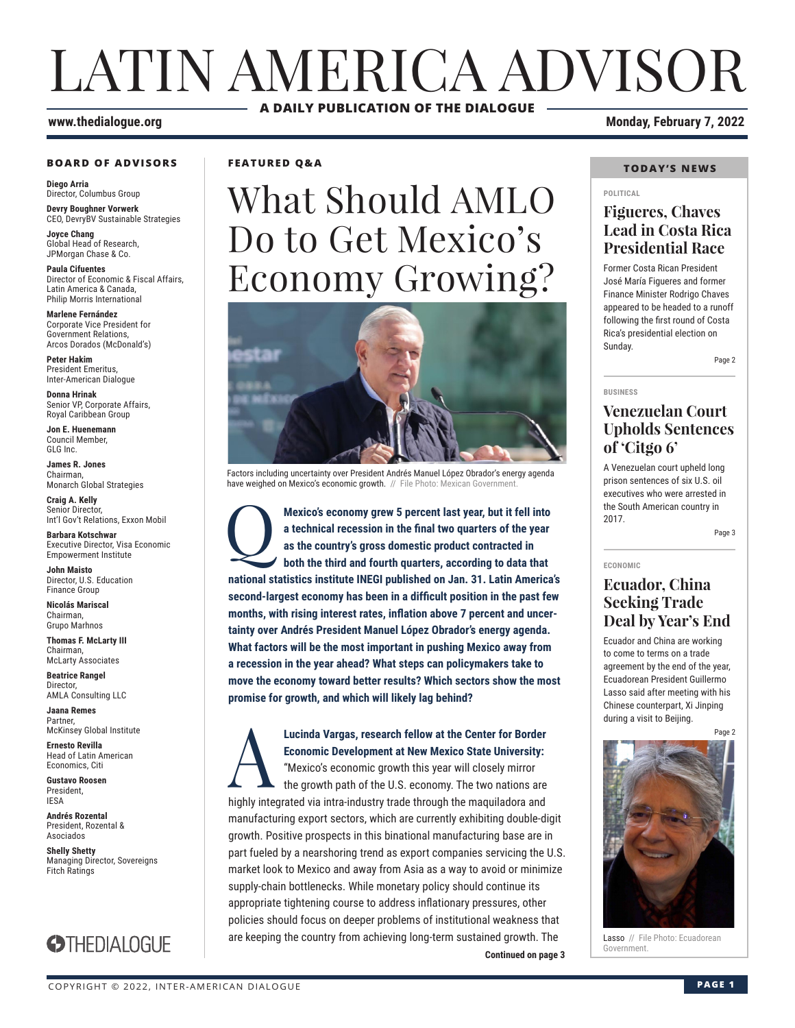# LATIN AMERICA ADVISOR **A DAILY PUBLICATION OF THE DIALOGUE**

### **www.thedialogue.org** 2022

#### **BOARD OF ADVISORS**

**Diego Arria** Director, Columbus Group **Devry Boughner Vorwerk**

CEO, DevryBV Sustainable Strategies

**Joyce Chang** Global Head of Research, JPMorgan Chase & Co.

**Paula Cifuentes** Director of Economic & Fiscal Affairs, Latin America & Canada, Philip Morris International

**Marlene Fernández** Corporate Vice President for Government Relations, Arcos Dorados (McDonald's)

**Peter Hakim** President Emeritus, Inter-American Dialogue

**Donna Hrinak** Senior VP, Corporate Affairs, Royal Caribbean Group

**Jon E. Huenemann** Council Member, GLG Inc.

**James R. Jones** Chairman, Monarch Global Strategies

**Craig A. Kelly** Senior Director, Int'l Gov't Relations, Exxon Mobil

**Barbara Kotschwar** Executive Director, Visa Economic Empowerment Institute

**John Maisto** Director, U.S. Education Finance Group

**Nicolás Mariscal** Chairman, Grupo Marhnos

**Thomas F. McLarty III** Chairman, McLarty Associates

**Beatrice Rangel**  Director, AMLA Consulting LLC

**Jaana Remes** Partner, McKinsey Global Institute

**Ernesto Revilla**  Head of Latin American Economics, Citi

**Gustavo Roosen** President, IESA

**Andrés Rozental**  President, Rozental & Asociados

**Shelly Shetty** Managing Director, Sovereigns Fitch Ratings



### **FEATURED Q&A**

# What Should AMLO Do to Get Mexico's Economy Growing?



Factors including uncertainty over President Andrés Manuel López Obrador's energy agenda have weighed on Mexico's economic growth. // File Photo: Mexican Government

Mexico's economy grew 5 percent last year, but it fell into a technical recession in the final two quarters of the year as the country's gross domestic product contracted in both the third and fourth quarters, according to **a technical recession in the final two quarters of the year as the country's gross domestic product contracted in both the third and fourth quarters, according to data that national statistics institute INEGI published on Jan. 31. Latin America's second-largest economy has been in a difficult position in the past few months, with rising interest rates, inflation above 7 percent and uncertainty over Andrés President Manuel López Obrador's energy agenda. What factors will be the most important in pushing Mexico away from a recession in the year ahead? What steps can policymakers take to move the economy toward better results? Which sectors show the most promise for growth, and which will likely lag behind?**

**Continued on page 3 Lucinda Vargas, research fellow at the Center for Border Economic Development at New Mexico State University:**<br>
"Mexico's economic growth this year will closely mirror<br>
the growth path of the U.S. economy. The two nations **Economic Development at New Mexico State University:** "Mexico's economic growth this year will closely mirror the growth path of the U.S. economy. The two nations are highly integrated via intra-industry trade through the maquiladora and manufacturing export sectors, which are currently exhibiting double-digit growth. Positive prospects in this binational manufacturing base are in part fueled by a nearshoring trend as export companies servicing the U.S. market look to Mexico and away from Asia as a way to avoid or minimize supply-chain bottlenecks. While monetary policy should continue its appropriate tightening course to address inflationary pressures, other policies should focus on deeper problems of institutional weakness that are keeping the country from achieving long-term sustained growth. The

#### **TODAY'S NEWS**

#### **POLITICAL**

### **Figueres, Chaves Lead in Costa Rica Presidential Race**

Former Costa Rican President José María Figueres and former Finance Minister Rodrigo Chaves appeared to be headed to a runoff following the first round of Costa Rica's presidential election on Sunday.

Page 2

#### **BUSINESS**

### **Venezuelan Court Upholds Sentences of 'Citgo 6'**

A Venezuelan court upheld long prison sentences of six U.S. oil executives who were arrested in the South American country in 2017.

Page 3

**ECONOMIC**

### **Ecuador, China Seeking Trade Deal by Year's End**

Ecuador and China are working to come to terms on a trade agreement by the end of the year, Ecuadorean President Guillermo Lasso said after meeting with his Chinese counterpart, Xi Jinping during a visit to Beijing.

Page 2



Lasso // File Photo: Ecuadorean<br>Government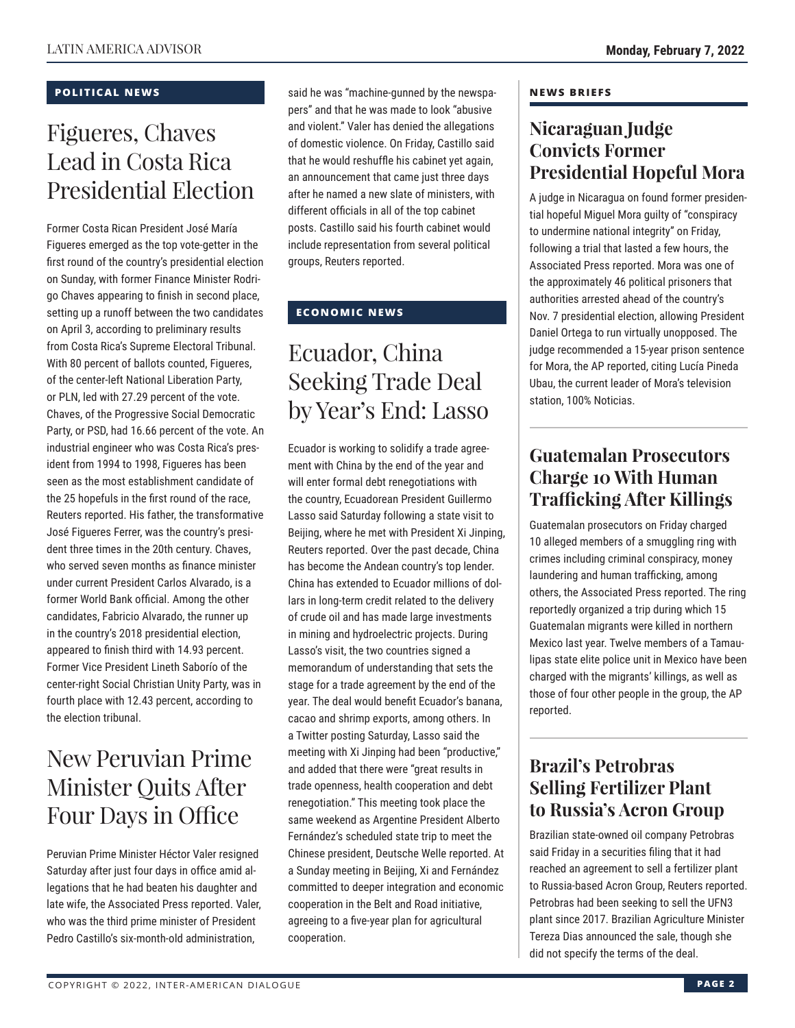### **POLITICAL NEWS**

### Figueres, Chaves Lead in Costa Rica Presidential Election

Former Costa Rican President José María Figueres emerged as the top vote-getter in the first round of the country's presidential election on Sunday, with former Finance Minister Rodrigo Chaves appearing to finish in second place, setting up a runoff between the two candidates on April 3, according to preliminary results from Costa Rica's Supreme Electoral Tribunal. With 80 percent of ballots counted, Figueres, of the center-left National Liberation Party, or PLN, led with 27.29 percent of the vote. Chaves, of the Progressive Social Democratic Party, or PSD, had 16.66 percent of the vote. An industrial engineer who was Costa Rica's president from 1994 to 1998, Figueres has been seen as the most establishment candidate of the 25 hopefuls in the first round of the race, Reuters reported. His father, the transformative José Figueres Ferrer, was the country's president three times in the 20th century. Chaves, who served seven months as finance minister under current President Carlos Alvarado, is a former World Bank official. Among the other candidates, Fabricio Alvarado, the runner up in the country's 2018 presidential election, appeared to finish third with 14.93 percent. Former Vice President Lineth Saborío of the center-right Social Christian Unity Party, was in fourth place with 12.43 percent, according to the election tribunal.

### New Peruvian Prime Minister Quits After Four Days in Office

Peruvian Prime Minister Héctor Valer resigned Saturday after just four days in office amid allegations that he had beaten his daughter and late wife, the Associated Press reported. Valer, who was the third prime minister of President Pedro Castillo's six-month-old administration,

said he was "machine-gunned by the newspapers" and that he was made to look "abusive and violent." Valer has denied the allegations of domestic violence. On Friday, Castillo said that he would reshuffle his cabinet yet again, an announcement that came just three days after he named a new slate of ministers, with different officials in all of the top cabinet posts. Castillo said his fourth cabinet would include representation from several political groups, Reuters reported.

### **ECONOMIC NEWS**

## Ecuador, China Seeking Trade Deal by Year's End: Lasso

Ecuador is working to solidify a trade agreement with China by the end of the year and will enter formal debt renegotiations with the country, Ecuadorean President Guillermo Lasso said Saturday following a state visit to Beijing, where he met with President Xi Jinping, Reuters reported. Over the past decade, China has become the Andean country's top lender. China has extended to Ecuador millions of dollars in long-term credit related to the delivery of crude oil and has made large investments in mining and hydroelectric projects. During Lasso's visit, the two countries signed a memorandum of understanding that sets the stage for a trade agreement by the end of the year. The deal would benefit Ecuador's banana, cacao and shrimp exports, among others. In a Twitter posting Saturday, Lasso said the meeting with Xi Jinping had been "productive," and added that there were "great results in trade openness, health cooperation and debt renegotiation." This meeting took place the same weekend as Argentine President Alberto Fernández's scheduled state trip to meet the Chinese president, Deutsche Welle reported. At a Sunday meeting in Beijing, Xi and Fernández committed to deeper integration and economic cooperation in the Belt and Road initiative, agreeing to a five-year plan for agricultural cooperation.

### **NEWS BRIEFS**

### **Nicaraguan Judge Convicts Former Presidential Hopeful Mora**

A judge in Nicaragua on found former presidential hopeful Miguel Mora guilty of "conspiracy to undermine national integrity" on Friday, following a trial that lasted a few hours, the Associated Press reported. Mora was one of the approximately 46 political prisoners that authorities arrested ahead of the country's Nov. 7 presidential election, allowing President Daniel Ortega to run virtually unopposed. The judge recommended a 15-year prison sentence for Mora, the AP reported, citing Lucía Pineda Ubau, the current leader of Mora's television station, 100% Noticias.

### **Guatemalan Prosecutors Charge 10 With Human Trafficking After Killings**

Guatemalan prosecutors on Friday charged 10 alleged members of a smuggling ring with crimes including criminal conspiracy, money laundering and human trafficking, among others, the Associated Press reported. The ring reportedly organized a trip during which 15 Guatemalan migrants were killed in northern Mexico last year. Twelve members of a Tamaulipas state elite police unit in Mexico have been charged with the migrants' killings, as well as those of four other people in the group, the AP reported.

### **Brazil's Petrobras Selling Fertilizer Plant to Russia's Acron Group**

Brazilian state-owned oil company Petrobras said Friday in a securities filing that it had reached an agreement to sell a fertilizer plant to Russia-based Acron Group, Reuters reported. Petrobras had been seeking to sell the UFN3 plant since 2017. Brazilian Agriculture Minister Tereza Dias announced the sale, though she did not specify the terms of the deal.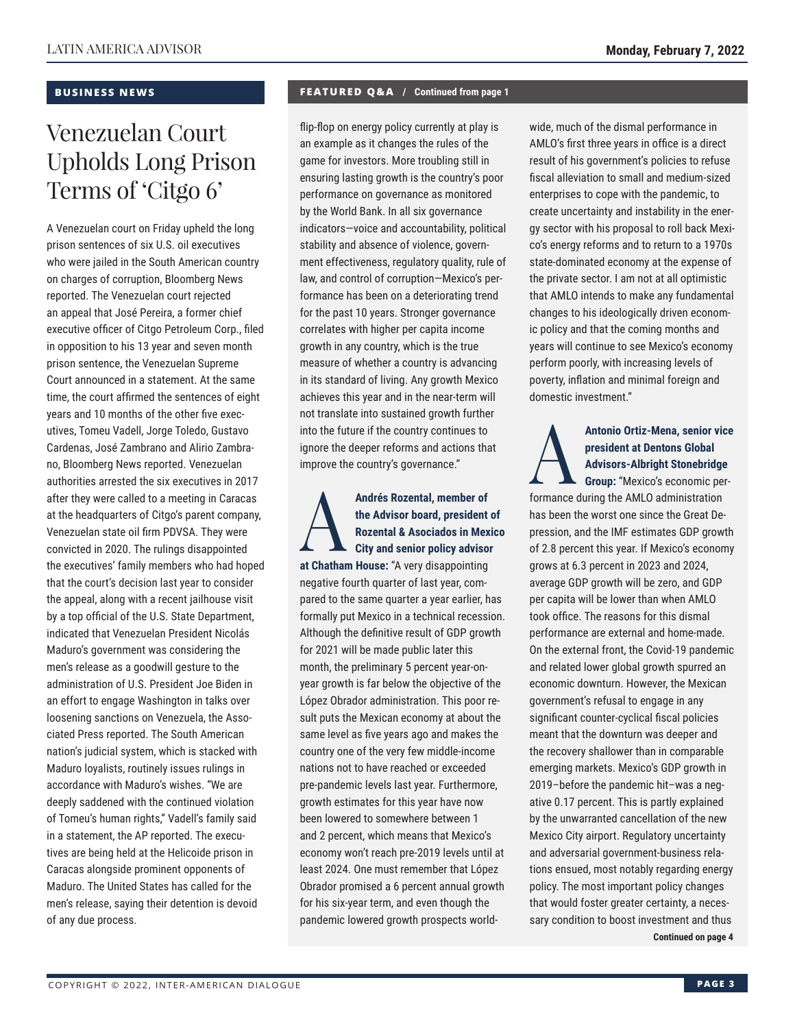### **BUSINESS NEWS**

## Venezuelan Court Upholds Long Prison Terms of 'Citgo 6'

A Venezuelan court on Friday upheld the long prison sentences of six U.S. oil executives who were jailed in the South American country on charges of corruption, Bloomberg News reported. The Venezuelan court rejected an appeal that José Pereira, a former chief executive officer of Citgo Petroleum Corp., filed in opposition to his 13 year and seven month prison sentence, the Venezuelan Supreme Court announced in a statement. At the same time, the court affirmed the sentences of eight years and 10 months of the other five executives, Tomeu Vadell, Jorge Toledo, Gustavo Cardenas, José Zambrano and Alirio Zambrano, Bloomberg News reported. Venezuelan authorities arrested the six executives in 2017 after they were called to a meeting in Caracas at the headquarters of Citgo's parent company, Venezuelan state oil firm PDVSA. They were convicted in 2020. The rulings disappointed the executives' family members who had hoped that the court's decision last year to consider the appeal, along with a recent jailhouse visit by a top official of the U.S. State Department, indicated that Venezuelan President Nicolás Maduro's government was considering the men's release as a goodwill gesture to the administration of U.S. President Joe Biden in an effort to engage Washington in talks over loosening sanctions on Venezuela, the Associated Press reported. The South American nation's judicial system, which is stacked with Maduro loyalists, routinely issues rulings in accordance with Maduro's wishes. "We are deeply saddened with the continued violation of Tomeu's human rights," Vadell's family said in a statement, the AP reported. The executives are being held at the Helicoide prison in Caracas alongside prominent opponents of Maduro. The United States has called for the men's release, saying their detention is devoid of any due process.

### **FEATURED Q&A / Continued from page 1**

flip-flop on energy policy currently at play is an example as it changes the rules of the game for investors. More troubling still in ensuring lasting growth is the country's poor performance on governance as monitored by the World Bank. In all six governance indicators—voice and accountability, political stability and absence of violence, government effectiveness, regulatory quality, rule of law, and control of corruption—Mexico's performance has been on a deteriorating trend for the past 10 years. Stronger governance correlates with higher per capita income growth in any country, which is the true measure of whether a country is advancing in its standard of living. Any growth Mexico achieves this year and in the near-term will not translate into sustained growth further into the future if the country continues to ignore the deeper reforms and actions that improve the country's governance."

Andrés Rozental, member of<br>the Advisor board, president<br>Rozental & Asociados in Mex<br>City and senior policy advisor **the Advisor board, president of Rozental & Asociados in Mexico City and senior policy advisor at Chatham House:** "A very disappointing negative fourth quarter of last year, compared to the same quarter a year earlier, has formally put Mexico in a technical recession. Although the definitive result of GDP growth for 2021 will be made public later this month, the preliminary 5 percent year-onyear growth is far below the objective of the López Obrador administration. This poor result puts the Mexican economy at about the same level as five years ago and makes the country one of the very few middle-income nations not to have reached or exceeded pre-pandemic levels last year. Furthermore, growth estimates for this year have now been lowered to somewhere between 1 and 2 percent, which means that Mexico's economy won't reach pre-2019 levels until at least 2024. One must remember that López Obrador promised a 6 percent annual growth for his six-year term, and even though the pandemic lowered growth prospects worldwide, much of the dismal performance in AMLO's first three years in office is a direct result of his government's policies to refuse fiscal alleviation to small and medium-sized enterprises to cope with the pandemic, to create uncertainty and instability in the energy sector with his proposal to roll back Mexico's energy reforms and to return to a 1970s state-dominated economy at the expense of the private sector. I am not at all optimistic that AMLO intends to make any fundamental changes to his ideologically driven economic policy and that the coming months and years will continue to see Mexico's economy perform poorly, with increasing levels of poverty, inflation and minimal foreign and domestic investment."

### Antonio Ortiz-Mena, senior vice<br>
president at Dentons Global<br>
Advisors-Albright Stonebridge<br>
Group: "Mexico's economic per-<br>
formance during the AMLO odministration **president at Dentons Global Advisors-Albright Stonebridge**

**Group:** "Mexico's economic performance during the AMLO administration has been the worst one since the Great Depression, and the IMF estimates GDP growth of 2.8 percent this year. If Mexico's economy grows at 6.3 percent in 2023 and 2024, average GDP growth will be zero, and GDP per capita will be lower than when AMLO took office. The reasons for this dismal performance are external and home-made. On the external front, the Covid-19 pandemic and related lower global growth spurred an economic downturn. However, the Mexican government's refusal to engage in any significant counter-cyclical fiscal policies meant that the downturn was deeper and the recovery shallower than in comparable emerging markets. Mexico's GDP growth in 2019–before the pandemic hit–was a negative 0.17 percent. This is partly explained by the unwarranted cancellation of the new Mexico City airport. Regulatory uncertainty and adversarial government-business relations ensued, most notably regarding energy policy. The most important policy changes that would foster greater certainty, a necessary condition to boost investment and thus **Continued on page 4**